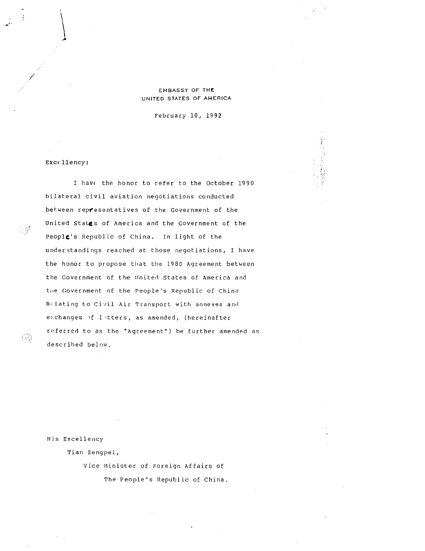## EMBASSY OF THE UNITED STATES OF AMERICA

February 10, 1992

Excellency :

<sup>I</sup> have the honor to refer to the October 1990 bilateral civil aviation negotiations conducted between representatives of the Government of the United States of America and the Government of the People's Republic of China. In light of the understandings reached at those negotiations, <sup>I</sup> have the honor to propose that the 1980 Agreement between the Government of the United States of America and tie Government of the People's Republic of China Relating to Civil Air Transport with annexes and exchanges of lotters, as amended, (hereinafter referred to as the "Agreement") be further amended as described below.

His Excellency

Tian Zengpei,

Vice Minister of Foreign Affairs of The People's Republic of China .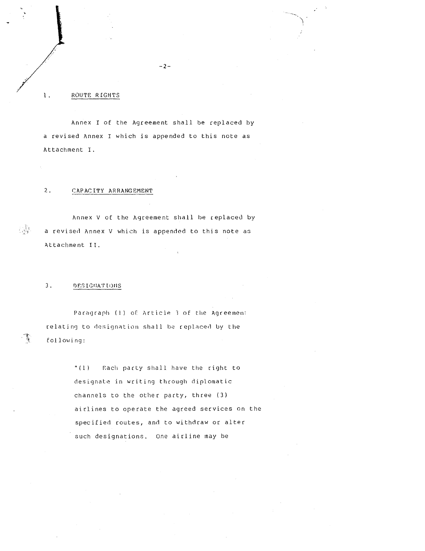## ROUTE RIGHTS

1 .

 

Annex <sup>I</sup> of the Agreement shall be replaced by a revised Annex I which is appended to this note as Attachment I. ANNE RIGHTS<br>
1. ROUTE RIGHTS<br>
Annex I of the Agree<br>
a revised Annex I which is<br>
Attachment I.<br>
2. <u>CAPACITY ARRANGEMENT</u>

# 2 .

Annex V of the Agreement shall be replaced by <sup>a</sup> revised Annex V which is appended to this note as Attachment II . THE STREAM CONTRACT CONTRACT CONTRACT CONTRACT CONTRACT CONTRACT CONTRACT CONTRACT CONTRACT CONTRACT CONTRACT CONTRACT CONTRACT CONTRACT CONTRACT CONTRACT CONTRACT CONTRACT CONTRACT CONTRACT CONTRACT CONTRACT CONTRACT CONT Each party of the Agreement shall be replaced a revised Annex I of the Agreement shall be replaced a revised Annex I which is appended to this note Attachment I.<br>
2. CAPACITY ARRANGEMENT<br>
Annex V of the Agreement shall be

## 3 .

Paragraph (1) of Article 3 of the Agreemen: relating to designation shall be replaced by the following :

> "(1) designate in writing through diplomatic channels to the other party, three (3) airlines to operate the agreed services on the specified routes, and to withdraw or alter such designations. One airline may be

 $-2 -$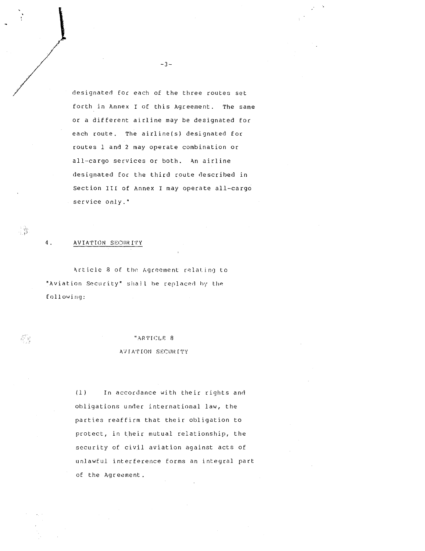designated for each of the three routes set forth in Annex I of this Agreement. The same or <sup>a</sup> different airline may be designated for each route. The airline(s) designated for routes 1 and 2 may operate combination or all-cargo services or both. An airline designated for the third route described in Section III of Annex I may operate all-cargo service only." The designated for each of the three rouses as<br>forth in Annex I of this Agreement. The s<br>or a different airline may be designated for<br>contest, the sixthing is designated for<br>cutes 1 and 2 may operate contination or<br>all-car

#### 4 . AVIATION SECURITY

 

Article 8 of the Agreement relating to "Aviation Security" shall be replaced by the following:

## "ARTICLE 8

#### AVIATION SECURITY

(1) obligations under international law, the parties reaffirm that their obligation to protect, in their mutual relationship, the security of civil aviation against acts of unlawful interference forms an integral part of the Agreement .

 $-3 -$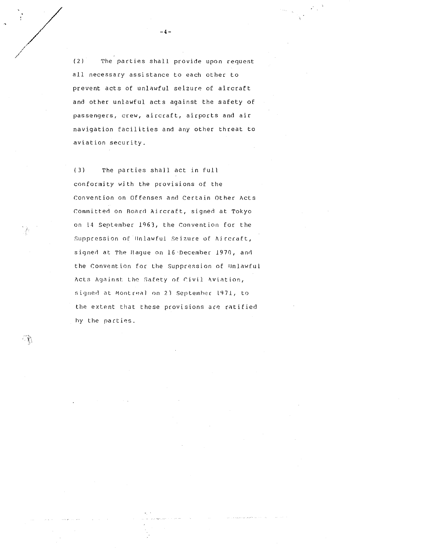(2) The parties shall provide upon request all necessary assistance to each other to prevent acts of unlawful seizure of aircraft and other unlawful acts against the safety of passengers, crew, aircraft, airports and air navigation facilities and any other threat to aviation security .

(3) The parties shall act in full. conformity with the provisions of the Convention on offenses and Certain Other Acts Committed on Board Aircraft, signed at Tokyo on 14 September 1963, the convention for the Suppression of Unlawful Seizure of Aircraft, signed at The Hague on 16 December 1970, and the Convention for the Suppression of Unlawful Acts Against. the Safety of civil Aviation, signed at Montreal on 23 September 1971, to the extent that these provisions ace ratified by the parties .

 

行動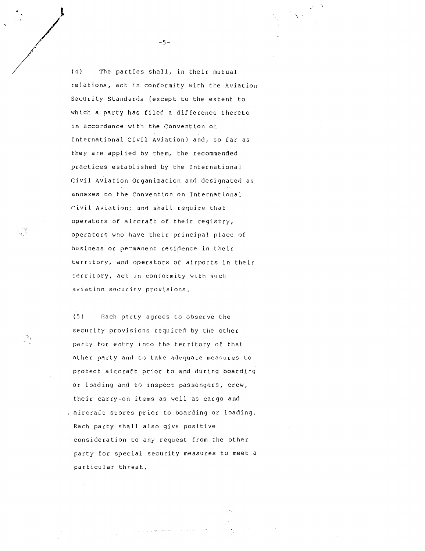(4) The parties shall, in their mutual relations, act in conformity with the Aviation Security Standards (except to the extent to which <sup>a</sup> party has filed a difference thereto in accordance with the Convention on International Civil Aviation) and, so far as they are applied by them, the recommended practices established by the International Civil Aviation Organization and designated as annexes to the Convention on International Civil Aviation; and shall require that operators of aircraft of their registry, operators who have their principal place of business or permanent residence in their territory, and operators of airports in their territory, act\_ in conformity with such aviation security previsions .

(5) Each party agrees to observe the security provisions required by the other party for entry into the territory of that other party and to take adequate measures to protect aircraft prior to and during boarding or loading and to inspect passengers, crew, their carry-on items as well as cargo and aircraft stores prior to boarding or loading. Each party shall also give positive consideration to any request Erom the other party for special security measures to meet a particular threat .

specialize the depth reserved in a construction of

 $-5 -$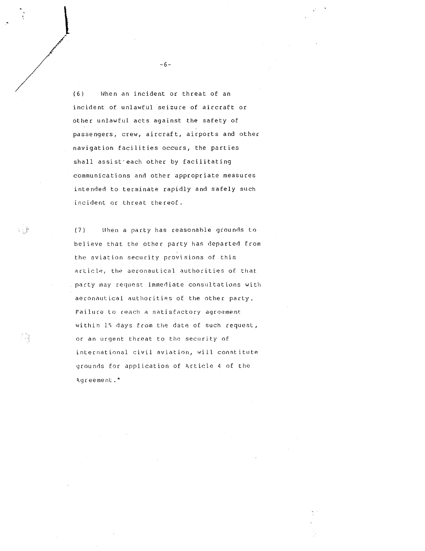(6) When an incident or threat of an incident of unlawful seizure of aircraft or other unlawful acts against the safety of passengers, crew, aircraft, airports and other navigation facilities occurs, the parties shall assist each other by facilitating communications and other appropriate measures intended to terminate rapidly and safely such incident or threat thereof .

believe that the other party has departed from the aviation security provisions of this (7) When <sup>a</sup> party has reasonahle grounds to article, the aeronautical authorities of that party may request. immediate consultations with aeronautical authorities of the other party . Failure to reach a satisfactory agreement within 15 days from the date of such request, or an urgent threat to the security of international civil aviation, will constitute grounds for application of Article <sup>4</sup> of the Agreement ."

 $-6 -$ 

 

i j<sup>a</sup>

Ω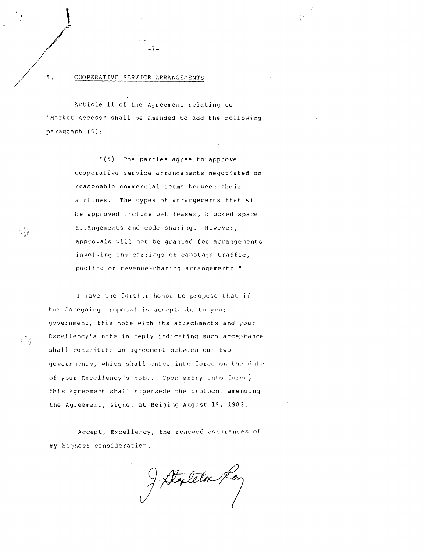# COOPERATIVE SERVICEARRANGEMENTS

Article 11 of the Agreement relating to "Market Access" shall he amended to add the following paragraph (5) :

 $-7-$ 

"(5) The parties agree to approve cooperative service arrangements negotiated on reasonable commercial terms between their airlines. The types of arrangements that will he approved include wet leases, blocked space arrangements and code-sharing . However, approvals will not be granted for arrangements involving the carriage of' cabotage traffic, pooling or revenue-sharing arrangements ."

<sup>I</sup> have the further honor to propose that if the foregoing proposal is acceptable to your government, this note with its attachments and your Excellency's note in reply indicating such acceptance shall constitute an agreement between our two governments, which shall enter into force on the date of your Excellency's note. Upon entry into force, this Agreement shall supersede the protocol amending the Agreement, signed at Beijing August 19, 1982 .

Accept, Excellency, the renewed assurances of my highest consideration .

F. Stapleton Kon

 $5.$ 

Q∲

-28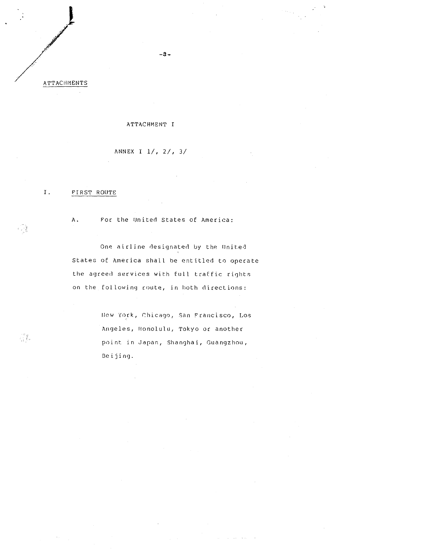그림

经购

## ATTACHMENT <sup>I</sup>

ANNEX <sup>I</sup> 1/, 2/, 3/

#### I . FIRST ROUTE

A. For the United States of America:

One airline designated by the flnited States of America shall he entitled to operate the agreed services with full traffic rights on the following route, in hoth directions :

> New York, Chicago, San Francisco, Los Angeles, Honolulu, Tokyo or another point in Japan, Shanghai, Guangzhou, Beijing .

> > and the company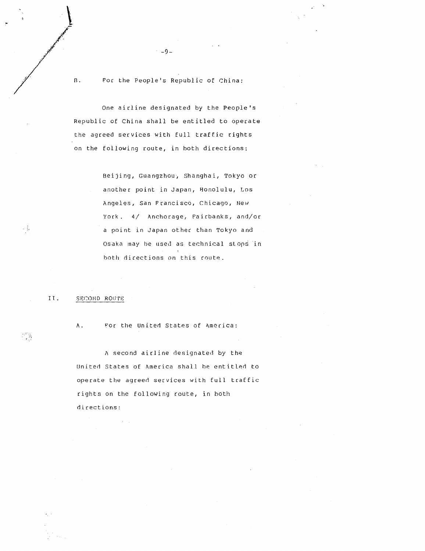$B$ . For the People's Republic of China:

 $-9-$ 

One airline designated by the People's Republic of China shall be entitled to operate the agreed services with full traffic rights on the following route, in both directions: B. For the operation of the agreed state of the agreed state of the agreed state of the agreed state of the agreed state and the contract of the state of the state of the state of the state of the state of the state of the

Beijing, Guangzhou, Shanghai, Tokyo or another point in Japan, Honolulu, Los Angeles, San Francisco, Chicago, New York . 4/ Anchorage, Fairbanks, and/or <sup>a</sup> point in Japan other than Tokyo and Osaka may be used as technical stops in both directions on this route .

II .

A . For the United States of America:

A second airline designated by the united States of America shall he entitled to operate the agreed services with full traffic rights on the following route, in both directions :

53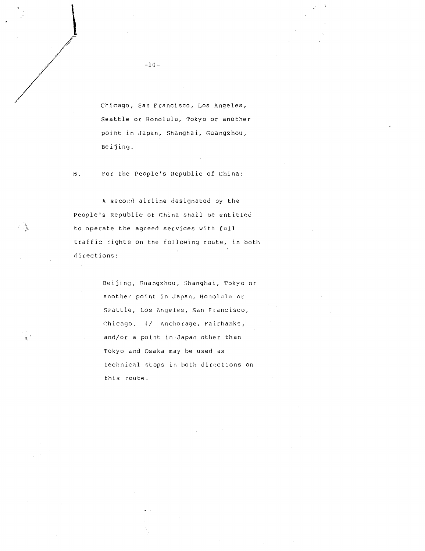Chicago, San Francisco, Los Angeles, Seattle or Honolulu, Tokyo or another point in Japan, Shanghai, Guangzhou, Beijing .

B . For the People's Republic of China:

A second airline designated by the People's Republic of China shall he entitled to operate the agreed services with full traffic rights on the following route, in both directions :

> Beijing, Guangzhou, Shanghai, Tokyo or another point in Japan, Honolulu or Seattle, Los Angeles, San Francisco, Chicago . 4/ Anchorage, Fairbanks, and/or a point in Japan other than Tokyo and Osaka may be used as technical stops in both directions on this route .

-10-

 

스러

人数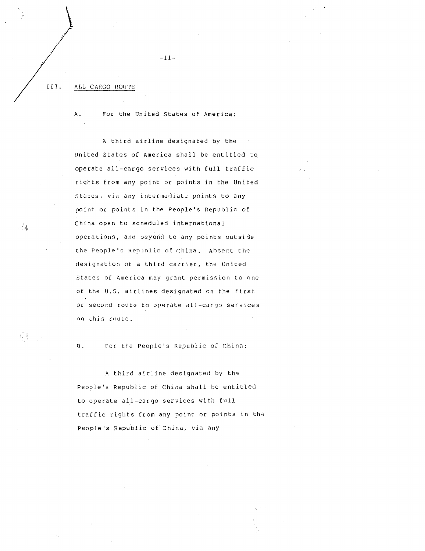#### III. ALL-CARGO ROUTE

 

矗

A . For the United States of America:

 $-11-$ 

<sup>A</sup> third airline designated by the United States of America shall be entitled to operate all-cargo services with full traffic rights from any point or points in the United States, via any intermediate points to any point or points in the People's Republic of China open to scheduled international operations, and beyond to any points outside the People's Republic of China . Absent the designation of <sup>a</sup> third carrier, the United States of America may grant permission to one of the U.S. airlines designated on the first or second route to operate all-cargo services on this route .

8 . For the People's Republic of China :

A third airline designated by the People's Republic of China shall he entitled to operate all-cargo services with full traffic rights from any point or points in the People's Republic of China, via any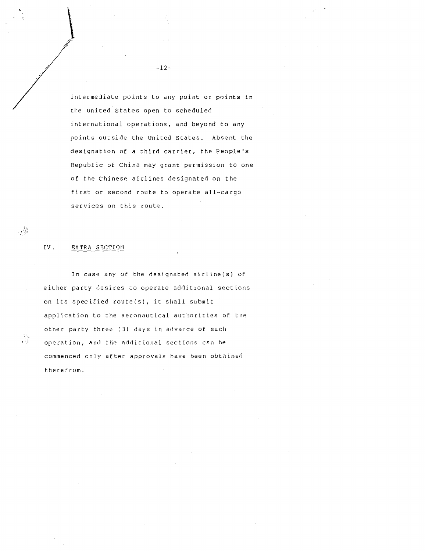intermediate points to any point or points in the United States open to scheduled international operations, and beyond to any points outside the United States. Absent the designation of <sup>a</sup> third carrier, the People's Republic of China may grant permission to one of the Chinese airlines designated on the first or second route to operate all-cargo services on this route .

#### IV . BX'TRA SECTION

 $\begin{aligned} \mathbf{V}^{(1)}_{\mathbf{V}} & = \mathbf{V}^{(1)}_{\mathbf{V}} \\ & = \mathbf{V}^{(1)}_{\mathbf{V}} + \mathbf{V}^{(1)}_{\mathbf{V}} \\ & = \mathbf{V}^{(1)}_{\mathbf{V}} + \mathbf{V}^{(1)}_{\mathbf{V}} \\ & = \mathbf{V}^{(1)}_{\mathbf{V}} + \mathbf{V}^{(1)}_{\mathbf{V}} \\ & = \mathbf{V}^{(1)}_{\mathbf{V}} + \mathbf{V}^{(1)}_{\mathbf{V}} \\ & = \mathbf{V}^{(1)}_{\mathbf{V}} + \mathbf{V}$ 

.∲

 $\mathbb{R}$ 

In case any of the designated airline(s) of either party desires to operate additional sections on its specified route(s), it shall submit application to the aeronautical authorities of the other party three (3) days in advance of such operation, and the additional sections can he commenced only after approvals have been obtained therefrom .

-12-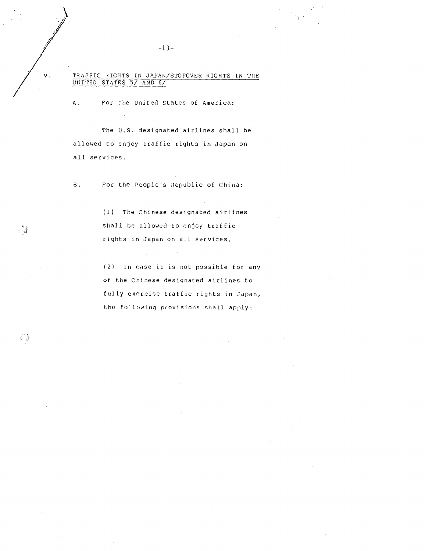TRAFFIC RIGHTS INJAPAN/STOPOVER RIGHTS IN THE UNITED STAPES 5/ AND 6/

-13-

A . For the United States of America:

The U.S. designated airlines shall be allowed to enjoy traffic rights in Japan on all services .

B . For the People's Republic of China:

> (1) The Chinese designated airlines shall he allowed to enjoy traffic rights in Japan on all services .

(2) In case it is not possible for any of the Chinese designated airlines to fully exercise traffic rights in Japan, the following provisions shall apply :

v.

s.å

ह के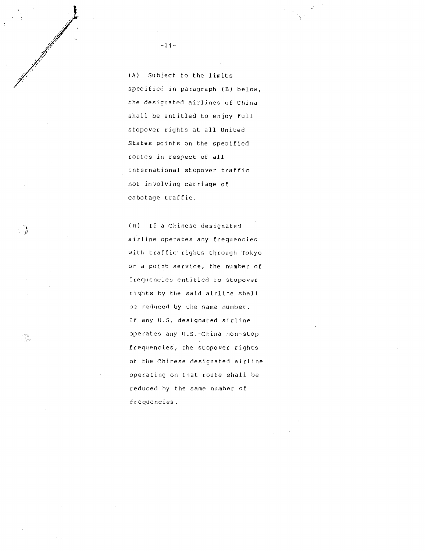(A) Subject to the limits specified in paragraph (B) below, the designated airlines of China shall be entitled to enjoy full stopover rights at all United States points on the specified routes in respect of all international stopover traffic not involving carriage of cabotage traffic .

(R) If <sup>a</sup> Chinese designated airline operates any frequencies with traffic' rights through Tokyo or a point service, the number of Frequencies entitled to stopover rights by the said airline shall ho reduced by the same number . If any U.S. designated airline operates any U.S.-China non-stop frequencies, the stopover rights of the Chinese designated airline operating on that route shall he reduced by the same number of frequencies .

 $-14-$ 

 

- 1

 $\begin{smallmatrix} & 0 & 0 \\ 0 & 0 & 0 \\ 0 & 0 & 0 \end{smallmatrix}$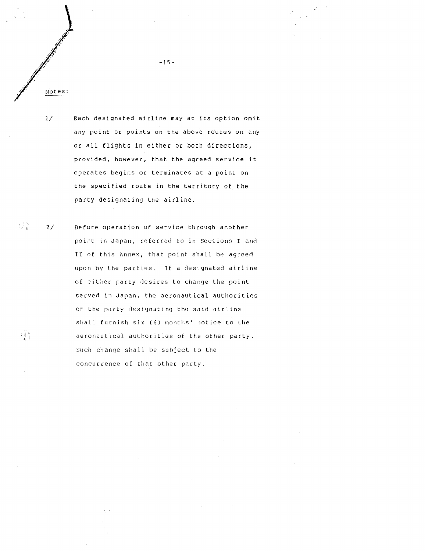1/

 $\frac{1}{2}$  ,  $\frac{1}{2}$ 

 

Each designated airline may at its option omit any point or points on the above routes on any or all flights in either or both directions, provided, however, that the agreed service it operates begins or terminates at a point on the specified route in the territory of the party designating the airline . Fig. 27<br>
Notes:<br>
Notes:<br>
Notes:<br>
Notes:<br>
27<br>
Notes:<br>
27<br>
Notes:<br>
27<br>
Pefore operation of service through another<br>
period of service through another<br>
27<br>
Defore operation of service through another<br>
period of service throug

2/ Before operation of service through another point in Japan, referred to in Sections I and II of this Annex, that point shall he agreed upon by the parties. If a designated airline of either party desires to change the point served in Japan, the aeronautical authorities of the party designating the said airline shall furnish six (6) months' notice to the aeronautical authorities of the other party. Such change shall he subject to the concurrence of that other party .

-15-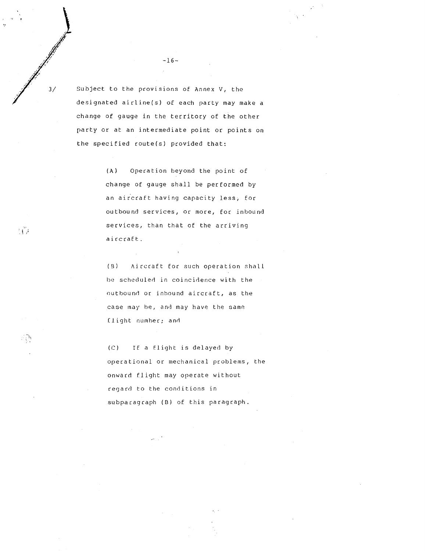Subject to the provisions of Annex V, the designated airline(s) of each party may make <sup>a</sup> change of gauge in the territory of the other party or at an intermediate point or points on the specified route(s) provided that:

> (A) Operation beyond the point of change of gauge shall be performed by an aircraft having capacity less, for outbound services, or more, for inbound services, than that of the arriving aircraft .

> (9) Aircraft for such operation shall be scheduled in coincidence with the outbound or inbound aircraft, as the case may he, and may have the same flight number; and

> $(C)$ If <sup>a</sup> flight is delayed by operational or mechanical problems, the onward flight may operate without regard to the conditions in subparagraph (B) of this paragraph .

-16-

 

 $3/$ 

tig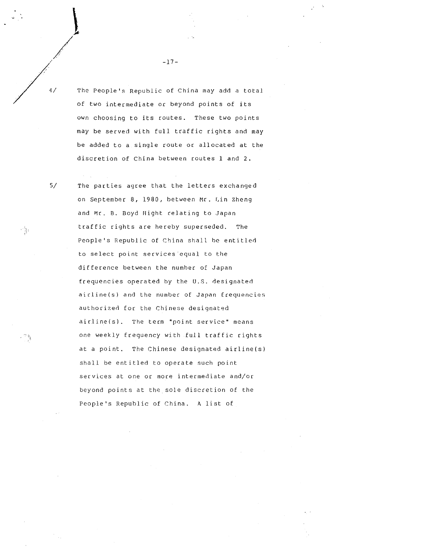The People's Republic of China may add <sup>a</sup> total

of two intermediate or beyond points of its own choosing to its routes. These two points may be served with full traffic rights and may be added to a single route or allocated at the discretion of China between routes <sup>1</sup> and <sup>2</sup> . The people's Republic of China may add a tot<br>of two intermediate or beyond points of its<br>own choosing to its routes. These two point<br>may be served with full traffic rights and m<br>be added to a single route or allocated at t -17-<br>-17-<br>-17-<br>Whe People's Republic of China may add a t<br>of two intermediate or beyond points of it<br>own choosing to its routes. These two poi<br>may be served with full traffic rights and<br>be added to a single route or alloca

on September 8, 1980, between Mr . Lin Zheng and Mr. B. Boyd Hight relating to Japan traffic rights are hereby superseded. The People's Republic of China shall he entitled to select point services equal to the difference between the number of Japan frequencies operated by the U.S. designated airline(s) and the number of Japan frequencies authorized for the Chinese designated airline(s) . The term "point service" means one weekly frequency with full traffic rights at a point, The Chinese designated airline(s) shall be entitled to operate such point services at one or more intermediate and/or beyond points at the sole discretion of the People's Republic of China. A list of

-17-

5/

4/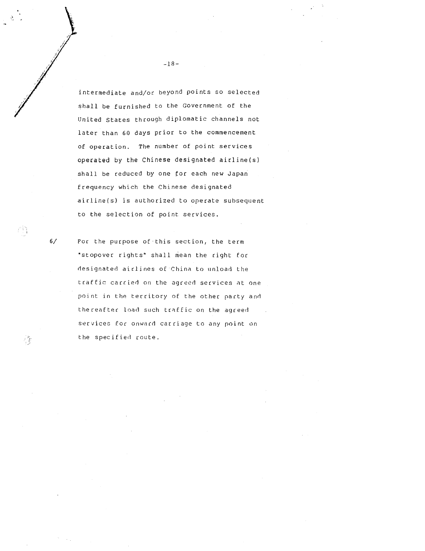intermediate and/or beyond points so selected shall be furnished to the Government of the United States through diplomatic channels not later than 60 days prior to the commencement of operation. The number of point services operated by the Chinese designated airline(s) shall be reduced by one for each new Japan frequency which the Chinese designated airline(s) is authorized to operate subsequent to the selection of point services .

6/ For the purpose of this section, the term "stopover rights" shall mean the right for designated airlines of China to unload the traffic carried on the agreed services at one point in the territory of the other party and thereafter load such traffic on the agreed services for onward carriage to any point on the specified route .

身

-18-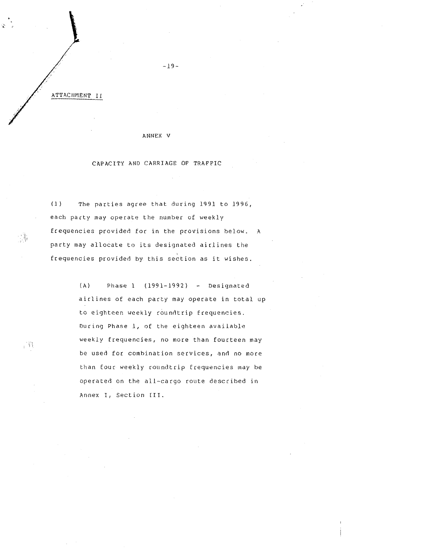#### ANNEX V

### CAPACITY AND CARRIAGE OF TRAFFIC

(1) The parties agree that during 1991 to 1996, each party may operate the number of weekly frequencies provided for in the provisions below. A party may allocate to its designated airlines the frequencies provided by this section as it wishes . ATTACHMENT II<br>
ANNEX V<br>
CAPACITY AND CARRIAGE OF TRAFFIC<br>
CAPACITY AND CARRIAGE OF TRAFFIC<br>
(1) The parties agree that during 1991 to 1996<br>
each party may operate the number of weekly<br>
frequencies provided for in the provi

(A) Phase 1 (1991-1992) - Designated airlines of each party may operate in total up to eighteen weekly roundtrip frequencies . During Phase 1, of the eighteen available weekly frequencies, no more than fourteen may be used for combination services, and no more than four weekly roundtrip frequencies may be operated on the all-cargo route described in Annex I, Section III.

 $\mathbb{R}^n$  .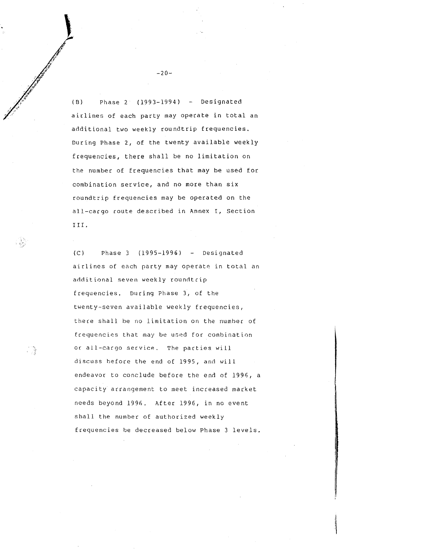(B) Phase <sup>2</sup> (1993-1994) - Designated airlines of each party may operate in total an additional two weekly roundtrip frequencies . During Phase 2, of the twenty available weekly frequencies, there shall be no limitation on the number of frequencies that may be used for combination service, and no more than six roundtrip frequencies may be operated on the all-cargo route described in Annex I, Section III .

 $(C)$ Phase 3 (1995-1996) - Designated airlines of each party may operate in total an additional seven weekly roundtrip frequencies. During Phase 3, of the twenty-seven available weekly frequencies, there shall be no limitation on the number of frequencies that may be used for combination or all-cargo service. The parties will discuss before the end of 1995, and will endeavor to conclude before the end of 1996, a capacity arrangement to meet increased market needs beyond 1996. After 1996, in no event shall the number of authorized weekly frequencies he decreased below Phase 3 levels .

 $-20-$ 

 $\begin{array}{ccc} \begin{array}{ccc} \end{array} & \begin{array}{ccc} \end{array} & \begin{array}{ccc} \end{array} & \end{array}$ 

 $\frac{3}{2}$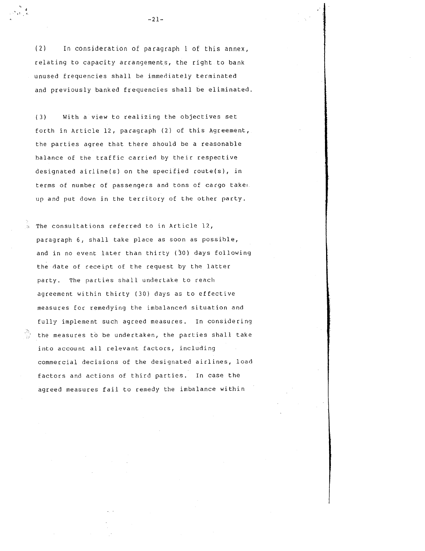(2) In consideration of paragraph <sup>1</sup> of this annex, relating to capacity arrangements, the right to bank unused frequencies shall be immediately terminated and previously banked frequencies shall be eliminated . A view to realist the consideration of paragraph 1 of this any<br>relating to capacity arrangements, the right to ba<br>unused frequencies shall be immediately terminated<br>and previously banked frequencies shall be elimina<br>(3) Wi

 $\begin{array}{c}\n\overline{\mathcal{L}}_{\mathcal{L}} \\
\overline{\mathcal{L}}_{\mathcal{L}}\left(\overline{\mathcal{L}}_{\mathcal{L}}\right) \\
\overline{\mathcal{L}}_{\mathcal{L}}\left(\overline{\mathcal{L}}_{\mathcal{L}}\right) \\
\overline{\mathcal{L}}_{\mathcal{L}}\left(\overline{\mathcal{L}}_{\mathcal{L}}\right) \end{array}$ 

(3) forth in Article 12, paragraph (2) of this Agreement, the parties agree that there should be a reasonable balance of the traffic carried by their respective designated airline(s) on the specified route(s), in terms of number of passengers and tons of cargo taken. up and put down in the territory of the other party.

The consultations referred to in Article 12, paragraph 6, shall take place as soon as possible, and in no event later than thirty (30) days following the date of receipt of the request by the latter party. The parties shall undertake to reach agreement within thirty (30) days as to effective measures for remedying the imbalanced situation and fully implement such agreed measures. In considering the measures to be undertaken, the parties shall take into account all relevant factors, including commercial decisions of the designated airlines, load factors and actions of third parties. In case the agreed measures fail to remedy the imbalance within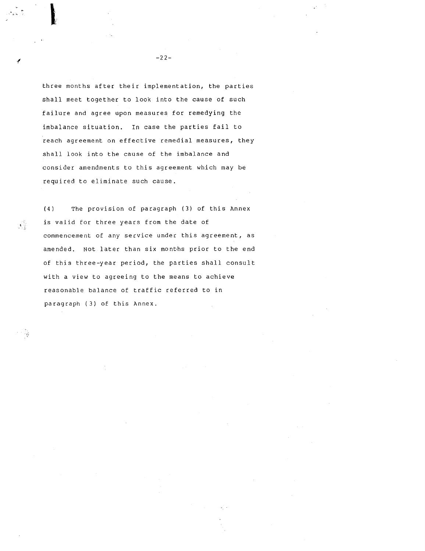three months after their implementation, the parties shall meet together to look into the cause of such failure and agree upon measures for remedying the imbalance situation. In case the parties fail to reach agreement on effective remedial measures, they shall look into the cause of the imbalance and consider amendments to this agreement which may be required to eliminate such cause .

 $\overline{f}$ 

 $\mathcal{A}^{\mathbb{Z}}_{\mathbb{Z}}$ 

- 9

 

(4) The provision of paragraph (3) of this Annex is valid for three years from the date of commencement of any service under this agreement, as amended. Not later than six months prior to the end of this three-year period, the parties shall consult with <sup>a</sup> view to agreeing to the means to achieve reasonable balance of traffic referred to in paragraph (3) of this Annex .

 $-22-$